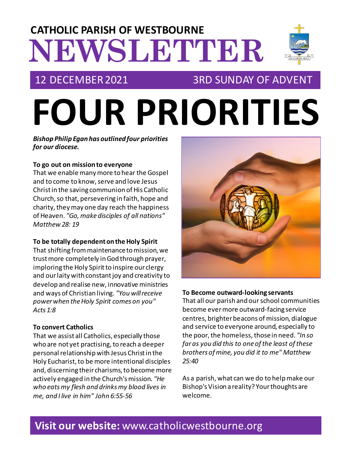## **NEWSLETTER CATHOLIC PARISH OF WESTBOURNE**

#### 12 DECEMBER 2021 3RD SUNDAY OF ADVENT

# **FOUR PRIORITIES**

#### *Bishop Philip Egan has outlined four priorities for our diocese.*

#### **To go out on mission to everyone**

That we enable many more to hear the Gospel and to come to know, serve and love Jesus Christ in the saving communion of His Catholic Church, so that, persevering in faith, hope and charity, they may one day reach the happiness of Heaven. *"Go, make disciples of all nations" Matthew 28: 19*

#### **To be totally dependent on the Holy Spirit**

That shifting from maintenance to mission, we trust more completely in God through prayer, imploring the Holy Spirit to inspire our clergy and our laity with constant joy and creativity to develop and realise new, innovative ministries and ways of Christian living. *"You will receive power when the Holy Spirit comes on you" Acts 1:8*

#### **To convert Catholics**

That we assist all Catholics, especially those who are not yet practising, to reach a deeper personal relationship with Jesus Christ in the Holy Eucharist, to be more intentional disciples and, discerning their charisms, to become more actively engaged in the Church's mission. *"He who eats my flesh and drinks my blood lives in me, and I live in him" John 6:55-56*



#### **To Become outward-looking servants**

That all our parish and our school communities become ever more outward-facing service centres, brighter beacons of mission, dialogue and service to everyone around, especially to the poor, the homeless, those in need. *"In so far as you did this to one of the least of these brothers of mine, you did it to me" Matthew 25:40*

As a parish, what can we do to help make our Bishop's Vision a reality? Your thoughts are welcome.

### **Visit our website:** www.catholicwestbourne.org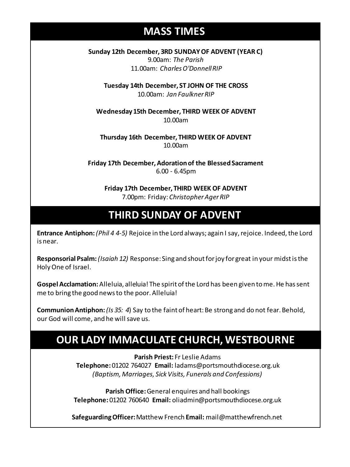#### **MASS TIMES**

**Sunday 12th December, 3RD SUNDAY OF ADVENT (YEAR C)** 9.00am: *The Parish* 11.00am: *Charles O'Donnell RIP*

**Tuesday 14th December, ST JOHN OF THE CROSS** 10.00am: *Jan Faulkner RIP*

**Wednesday 15th December, THIRD WEEK OF ADVENT** 10.00am

**Thursday 16th December, THIRD WEEK OF ADVENT** 10.00am

**Friday 17th December, Adoration of the Blessed Sacrament** 6.00 - 6.45pm

**Friday 17th December, THIRD WEEK OF ADVENT** 7.00pm: Friday: *Christopher Ager RIP*

#### **Sunday 11th 9am:** *The Parish* **THIRD SUNDAY OF ADVENT 11am** *Tim Mc Cann*

**Entrance Antiphon:** (Phil 4 4-5) Rejoice in the Lord always; again I say, rejoice. Indeed, the Lord **Saturday 16th** *Rosemarie Schofield RIP* is near.

**Responsorial Psalm:** *(Isaiah 12)* Response: Sing and shout for joy for great in your midst is the Holy One of Israel.

Gospel Acclamation: Alleluia, alleluia! The spirit of the Lord has been given to me. He has sent me to bring the good news to the poor. Alleluia!

**Communion Antiphon:** *(Is 35: 4*) Say to the faint of heart: Be strong and do not fear. Behold, our God will come, and he will save us.

#### **OUR LADY IMMACULATE CHURCH, WESTBOURNE**

**Parish Priest:** Fr Leslie Adams **Telephone:** 01202 764027 **Email:** ladams@portsmouthdiocese.org.uk *(Baptism, Marriages, Sick Visits, Funerals and Confessions)*

**Parish Office:**General enquires and hall bookings **Telephone:** 01202 760640 **Email:** oliadmin@portsmouthdiocese.org.uk

**Safeguarding Officer:**Matthew French **Email:** mail@matthewfrench.net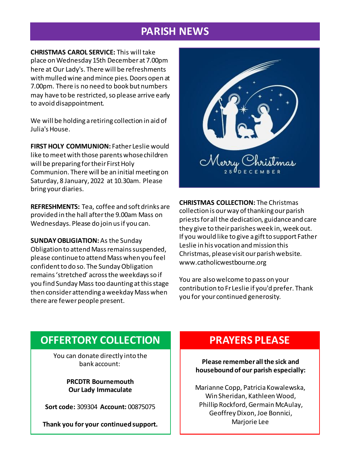#### **PARISH NEWS**

**CHRISTMAS CAROL SERVICE:** This will take place on Wednesday 15th December at 7.00pm here at Our Lady's. There will be refreshments with mulled wine and mince pies. Doors open at 7.00pm. There is no need to book but numbers may have to be restricted, so please arrive early to avoid disappointment.

We will be holding a retiring collection in aid of Julia's House.

**FIRST HOLY COMMUNION:** Father Leslie would like to meet with those parents whose children will be preparing for their First Holy Communion. There will be an initial meeting on Saturday, 8 January, 2022 at 10.30am. Please bring your diaries.

**REFRESHMENTS:** Tea, coffee and soft drinks are provided in the hall after the 9.00am Mass on Wednesdays. Please do join us if you can.

**SUNDAY OBLIGIATION:**As the Sunday Obligation to attend Mass remains suspended, please continue to attend Mass when you feel confident to do so. The Sunday Obligation remains 'stretched' across the weekdays so if you find Sunday Mass too daunting at this stage then consider attending a weekday Mass when there are fewer people present.



**CHRISTMAS COLLECTION:** The Christmas collection is our way of thanking our parish priests for all the dedication, guidance and care they give to their parishes week in, week out. If you would like to give a gift to support Father Leslie in his vocation and mission this Christmas, please visit our parish website. www.catholicwestbourne.org

You are also welcome to pass on your contribution to Fr Leslie if you'd prefer. Thank you for your continued generosity.

#### **OFFERTORY COLLECTION**

You can donate directly into the bank account:

> **PRCDTR Bournemouth Our Lady Immaculate**

**Sort code:** 309304 **Account:** 00875075

**Thank you for your continued support.**

#### **PRAYERS PLEASE**

**Please remember all the sick and housebound of our parish especially:**

Marianne Copp, Patricia Kowalewska, Win Sheridan, Kathleen Wood, Phillip Rockford, Germain McAulay, Geoffrey Dixon, Joe Bonnici, Marjorie Lee